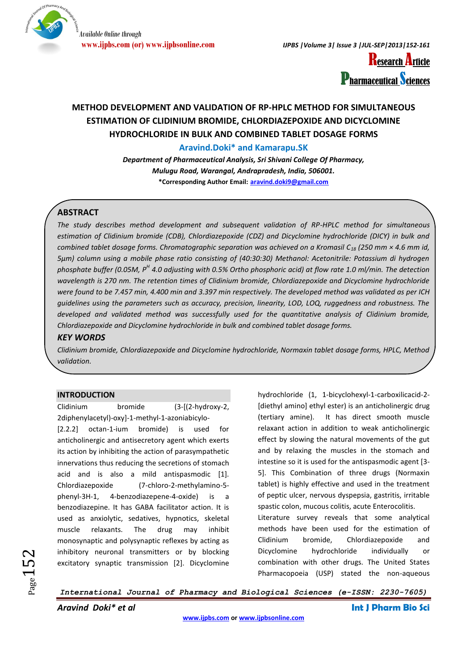

**www.ijpbs.com (or) www.ijpbsonline.com** *IJPBS |Volume 3| Issue 3 |JUL-SEP|2013|152-161*



# **METHOD DEVELOPMENT AND VALIDATION OF RP-HPLC METHOD FOR SIMULTANEOUS ESTIMATION OF CLIDINIUM BROMIDE, CHLORDIAZEPOXIDE AND DICYCLOMINE HYDROCHLORIDE IN BULK AND COMBINED TABLET DOSAGE FORMS**

## **Aravind.Doki\* and Kamarapu.SK**

*Department of Pharmaceutical Analysis, Sri Shivani College Of Pharmacy, Mulugu Road, Warangal, Andrapradesh, India, 506001.* **\*Corresponding Author Email: [aravind.doki9@gmail.com](mailto:aravind.doki9@gmail.com)**

# **ABSTRACT**

*The study describes method development and subsequent validation of RP-HPLC method for simultaneous estimation of Clidinium bromide (CDB), Chlordiazepoxide (CDZ) and Dicyclomine hydrochloride (DICY) in bulk and combined tablet dosage forms. Chromatographic separation was achieved on a Kromasil C<sub>18</sub> (250 mm × 4.6 mm id, 5µm) column using a mobile phase ratio consisting of (40:30:30) Methanol: Acetonitrile: Potassium di hydrogen phosphate buffer (0.05M, P<sup>H</sup> 4.0 adjusting with 0.5% Ortho phosphoric acid) at flow rate 1.0 ml/min. The detection wavelength is 270 nm. The retention times of Clidinium bromide, Chlordiazepoxide and Dicyclomine hydrochloride were found to be 7.457 min, 4.400 min and 3.397 min respectively. The developed method was validated as per ICH guidelines using the parameters such as accuracy, precision, linearity, LOD, LOQ, ruggedness and robustness. The developed and validated method was successfully used for the quantitative analysis of Clidinium bromide, Chlordiazepoxide and Dicyclomine hydrochloride in bulk and combined tablet dosage forms.* 

#### *KEY WORDS*

*Clidinium bromide, Chlordiazepoxide and Dicyclomine hydrochloride, Normaxin tablet dosage forms, HPLC, Method validation.*

#### **INTRODUCTION**

Clidinium bromide (3-[(2-hydroxy-2, 2diphenylacetyl)-oxy]-1-methyl-1-azoniabicylo- [2.2.2] octan-1-ium bromide) is used for anticholinergic and antisecretory agent which exerts its action by inhibiting the action of parasympathetic innervations thus reducing the secretions of stomach acid and is also a mild antispasmodic [1]. Chlordiazepoxide (7-chloro-2-methylamino-5 phenyl-3H-1, 4-benzodiazepene-4-oxide) is a benzodiazepine. It has GABA facilitator action. It is used as anxiolytic, sedatives, hypnotics, skeletal muscle relaxants. The drug may inhibit monosynaptic and polysynaptic reflexes by acting as inhibitory neuronal transmitters or by blocking excitatory synaptic transmission [2]. Dicyclomine hydrochloride (1, 1-bicyclohexyl-1-carboxilicacid-2- [diethyl amino] ethyl ester) is an anticholinergic drug (tertiary amine). It has direct smooth muscle relaxant action in addition to weak anticholinergic effect by slowing the natural movements of the gut and by relaxing the muscles in the stomach and intestine so it is used for the antispasmodic agent [3- 5]. This Combination of three drugs (Normaxin tablet) is highly effective and used in the treatment of peptic ulcer, nervous dyspepsia, gastritis, irritable spastic colon, mucous colitis, acute Enterocolitis. Literature survey reveals that some analytical methods have been used for the estimation of

Clidinium bromide, Chlordiazepoxide and Dicyclomine hydrochloride individually or combination with other drugs. The United States Pharmacopoeia (USP) stated the non-aqueous

*International Journal of Pharmacy and Biological Sciences (e-ISSN: 2230-7605)*

*Aravind Doki\* et al* **Int J Pharm Bio Sci**

 $Page$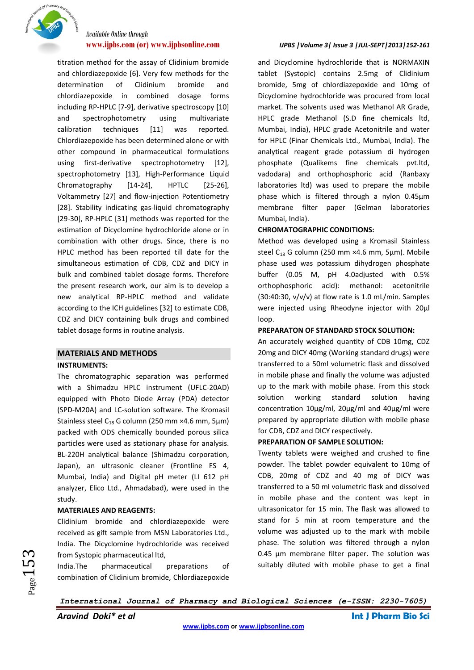

titration method for the assay of Clidinium bromide and chlordiazepoxide [6]. Very few methods for the determination of Clidinium bromide and chlordiazepoxide in combined dosage forms including RP-HPLC [7-9], derivative spectroscopy [10] and spectrophotometry using multivariate calibration techniques [11] was reported. Chlordiazepoxide has been determined alone or with other compound in pharmaceutical formulations using first-derivative spectrophotometry [12], spectrophotometry [13], High-Performance Liquid Chromatography [14-24], HPTLC [25-26], Voltammetry [27] and flow-injection Potentiometry [28]. Stability indicating gas-liquid chromatography [29-30], RP-HPLC [31] methods was reported for the estimation of Dicyclomine hydrochloride alone or in combination with other drugs. Since, there is no HPLC method has been reported till date for the simultaneous estimation of CDB, CDZ and DICY in bulk and combined tablet dosage forms. Therefore the present research work, our aim is to develop a new analytical RP-HPLC method and validate according to the ICH guidelines [32] to estimate CDB, CDZ and DICY containing bulk drugs and combined tablet dosage forms in routine analysis.

# **MATERIALS AND METHODS**

#### **INSTRUMENTS:**

The chromatographic separation was performed with a Shimadzu HPLC instrument (UFLC-20AD) equipped with Photo Diode Array (PDA) detector (SPD-M20A) and LC-solution software. The Kromasil Stainless steel  $C_{18}$  G column (250 mm ×4.6 mm, 5µm) packed with ODS chemically bounded porous silica particles were used as stationary phase for analysis. BL-220H analytical balance (Shimadzu corporation, Japan), an ultrasonic cleaner (Frontline FS 4, Mumbai, India) and Digital pH meter (LI 612 pH analyzer, Elico Ltd., Ahmadabad), were used in the study.

### **MATERIALES AND REAGENTS:**

Clidinium bromide and chlordiazepoxide were received as gift sample from MSN Laboratories Ltd., India. The Dicyclomine hydrochloride was received from Systopic pharmaceutical ltd,

India.The pharmaceutical preparations of combination of Clidinium bromide, Chlordiazepoxide

#### **www.ijpbs.com (or) www.ijpbsonline.com** *IJPBS |Volume 3| Issue 3 |JUL-SEPT|2013|152-161*

and Dicyclomine hydrochloride that is NORMAXIN tablet (Systopic) contains 2.5mg of Clidinium bromide, 5mg of chlordiazepoxide and 10mg of Dicyclomine hydrochloride was procured from local market. The solvents used was Methanol AR Grade, HPLC grade Methanol (S.D fine chemicals ltd, Mumbai, India), HPLC grade Acetonitrile and water for HPLC (Finar Chemicals Ltd., Mumbai, India). The analytical reagent grade potassium di hydrogen phosphate (Qualikems fine chemicals pvt.ltd, vadodara) and orthophosphoric acid (Ranbaxy laboratories ltd) was used to prepare the mobile phase which is filtered through a nylon 0.45µm membrane filter paper (Gelman laboratories Mumbai, India).

#### **CHROMATOGRAPHIC CONDITIONS:**

Method was developed using a Kromasil Stainless steel C<sub>18</sub> G column (250 mm  $\times$ 4.6 mm, 5 $\mu$ m). Mobile phase used was potassium dihydrogen phosphate buffer (0.05 M, pH 4.0adjusted with 0.5% orthophosphoric acid): methanol: acetonitrile (30:40:30, v/v/v) at flow rate is 1.0 mL/min. Samples were injected using Rheodyne injector with 20μl loop.

#### **PREPARATON OF STANDARD STOCK SOLUTION:**

An accurately weighed quantity of CDB 10mg, CDZ 20mg and DICY 40mg (Working standard drugs) were transferred to a 50ml volumetric flask and dissolved in mobile phase and finally the volume was adjusted up to the mark with mobile phase. From this stock solution working standard solution having concentration 10µg/ml, 20µg/ml and 40µg/ml were prepared by appropriate dilution with mobile phase for CDB, CDZ and DICY respectively.

#### **PREPARATION OF SAMPLE SOLUTION:**

Twenty tablets were weighed and crushed to fine powder. The tablet powder equivalent to 10mg of CDB, 20mg of CDZ and 40 mg of DICY was transferred to a 50 ml volumetric flask and dissolved in mobile phase and the content was kept in ultrasonicator for 15 min. The flask was allowed to stand for 5 min at room temperature and the volume was adjusted up to the mark with mobile phase. The solution was filtered through a nylon 0.45 μm membrane filter paper. The solution was suitably diluted with mobile phase to get a final

*International Journal of Pharmacy and Biological Sciences (e-ISSN: 2230-7605)*

 $_{\mathrm{Page}}15$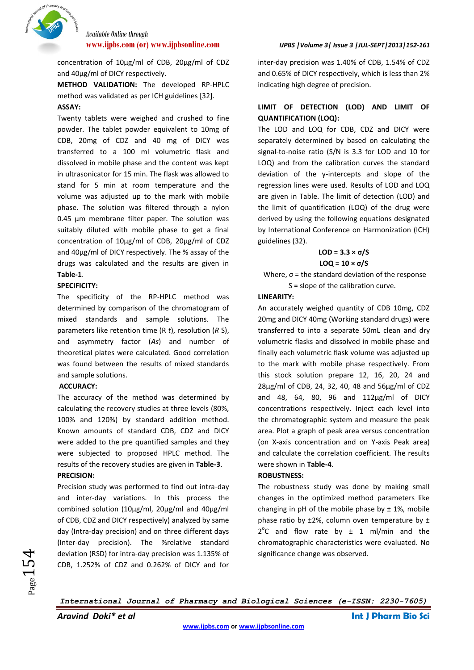

concentration of 10µg/ml of CDB, 20µg/ml of CDZ and 40µg/ml of DICY respectively.

**METHOD VALIDATION:** The developed RP-HPLC method was validated as per ICH guidelines [32]. **ASSAY:**

# Twenty tablets were weighed and crushed to fine powder. The tablet powder equivalent to 10mg of CDB, 20mg of CDZ and 40 mg of DICY was transferred to a 100 ml volumetric flask and dissolved in mobile phase and the content was kept in ultrasonicator for 15 min. The flask was allowed to stand for 5 min at room temperature and the volume was adjusted up to the mark with mobile phase. The solution was filtered through a nylon 0.45 μm membrane filter paper. The solution was suitably diluted with mobile phase to get a final concentration of 10µg/ml of CDB, 20µg/ml of CDZ and 40µg/ml of DICY respectively. The % assay of the drugs was calculated and the results are given in **Table-1**.

#### **SPECIFICITY:**

The specificity of the RP-HPLC method was determined by comparison of the chromatogram of mixed standards and sample solutions. The parameters like retention time (R *t*), resolution (*R* S), and asymmetry factor (*As*) and number of theoretical plates were calculated. Good correlation was found between the results of mixed standards and sample solutions.

#### **ACCURACY:**

The accuracy of the method was determined by calculating the recovery studies at three levels (80%, 100% and 120%) by standard addition method. Known amounts of standard CDB, CDZ and DICY were added to the pre quantified samples and they were subjected to proposed HPLC method. The results of the recovery studies are given in **Table-3**.

# **PRECISION:**

Precision study was performed to find out intra-day and inter-day variations. In this process the combined solution (10µg/ml, 20µg/ml and 40µg/ml of CDB, CDZ and DICY respectively) analyzed by same day (Intra-day precision) and on three different days (Inter-day precision). The %relative standard deviation (RSD) for intra-day precision was 1.135% of CDB, 1.252% of CDZ and 0.262% of DICY and for

### **www.ijpbs.com (or) www.ijpbsonline.com** *IJPBS |Volume 3| Issue 3 |JUL-SEPT|2013|152-161*

inter-day precision was 1.40% of CDB, 1.54% of CDZ and 0.65% of DICY respectively, which is less than 2% indicating high degree of precision.

### **LIMIT OF DETECTION (LOD) AND LIMIT OF QUANTIFICATION (LOQ):**

The LOD and LOQ for CDB, CDZ and DICY were separately determined by based on calculating the signal-to-noise ratio (S/N is 3.3 for LOD and 10 for LOQ) and from the calibration curves the standard deviation of the y-intercepts and slope of the regression lines were used. Results of LOD and LOQ are given in Table. The limit of detection (LOD) and the limit of quantification (LOQ) of the drug were derived by using the following equations designated by International Conference on Harmonization (ICH) guidelines (32).

$$
LOD = 3.3 \times \sigma/S
$$

$$
LOQ = 10 \times \sigma/S
$$

Where,  $\sigma$  = the standard deviation of the response S = slope of the calibration curve.

#### **LINEARITY:**

An accurately weighed quantity of CDB 10mg, CDZ 20mg and DICY 40mg (Working standard drugs) were transferred to into a separate 50mL clean and dry volumetric flasks and dissolved in mobile phase and finally each volumetric flask volume was adjusted up to the mark with mobile phase respectively. From this stock solution prepare 12, 16, 20, 24 and 28µg/ml of CDB, 24, 32, 40, 48 and 56µg/ml of CDZ and 48, 64, 80, 96 and 112µg/ml of DICY concentrations respectively. Inject each level into the chromatographic system and measure the peak area. Plot a graph of peak area versus concentration (on X-axis concentration and on Y-axis Peak area) and calculate the correlation coefficient. The results were shown in **Table-4**.

#### **ROBUSTNESS:**

The robustness study was done by making small changes in the optimized method parameters like changing in pH of the mobile phase by  $\pm$  1%, mobile phase ratio by  $\pm 2\%$ , column oven temperature by  $\pm$  $2^{\circ}$ C and flow rate by  $\pm$  1 ml/min and the chromatographic characteristics were evaluated. No significance change was observed.

*International Journal of Pharmacy and Biological Sciences (e-ISSN: 2230-7605)*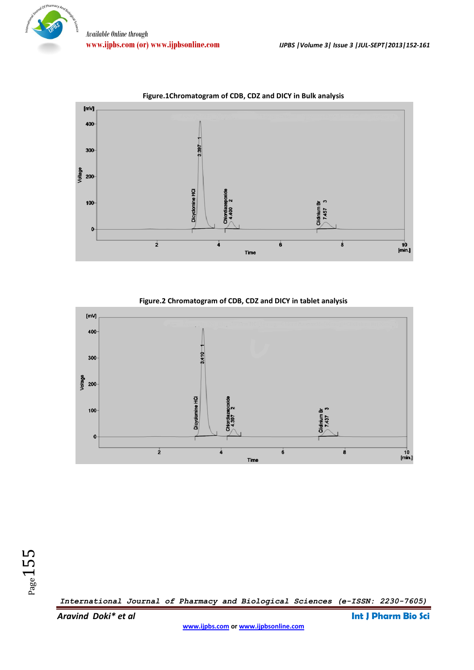

**Figure.1Chromatogram of CDB, CDZ and DICY in Bulk analysis**

**Figure.2 Chromatogram of CDB, CDZ and DICY in tablet analysis**



*International Journal of Pharmacy and Biological Sciences (e-ISSN: 2230-7605)*

*Aravind Doki\* et al* **Int J Pharm Bio Sci**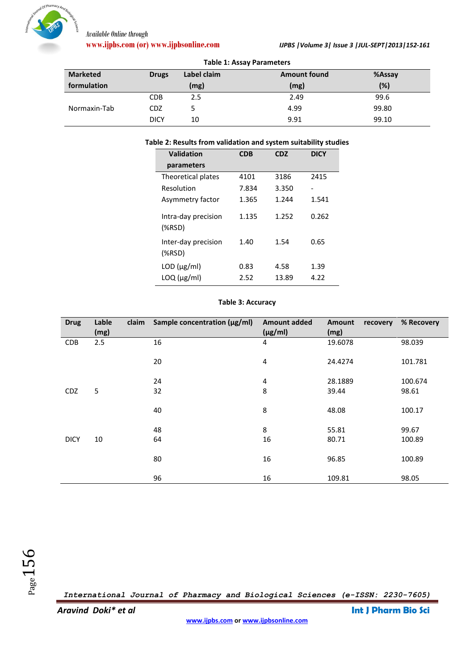

| <b>Table 1: Assay Parameters</b> |             |             |                     |        |  |  |
|----------------------------------|-------------|-------------|---------------------|--------|--|--|
| <b>Marketed</b><br><b>Drugs</b>  |             | Label claim | <b>Amount found</b> | %Assay |  |  |
| formulation                      |             | (mg)        | (mg)                | (%)    |  |  |
|                                  | <b>CDB</b>  | 2.5         | 2.49                | 99.6   |  |  |
| Normaxin-Tab                     | CDZ         |             | 4.99                | 99.80  |  |  |
|                                  | <b>DICY</b> | 10          | 9.91                | 99.10  |  |  |

#### **Table 2: Results from validation and system suitability studies**

| Validation                    | CDB   | CDZ   | <b>DICY</b> |
|-------------------------------|-------|-------|-------------|
| parameters                    |       |       |             |
| Theoretical plates            | 4101  | 3186  | 2415        |
| Resolution                    | 7.834 | 3.350 |             |
| Asymmetry factor              | 1.365 | 1.244 | 1.541       |
| Intra-day precision<br>(%RSD) | 1.135 | 1.252 | 0.262       |
| Inter-day precision<br>(%RSD) | 1.40  | 1.54  | 0.65        |
| $LOD$ ( $\mu$ g/ml)           | 0.83  | 4.58  | 1.39        |
| $LOQ$ ( $\mu$ g/ml)           | 2.52  | 13.89 | 4.22        |

#### **Table 3: Accuracy**

| <b>Drug</b> | Lable<br>(mg) | claim | Sample concentration (µg/ml) | <b>Amount added</b><br>$(\mu g/ml)$ | Amount<br>recovery<br>(mg) | % Recovery |
|-------------|---------------|-------|------------------------------|-------------------------------------|----------------------------|------------|
| <b>CDB</b>  | 2.5           |       | 16                           | 4                                   | 19.6078                    | 98.039     |
|             |               |       | 20                           | $\overline{4}$                      | 24.4274                    | 101.781    |
|             |               |       | 24                           | $\overline{4}$                      | 28.1889                    | 100.674    |
| <b>CDZ</b>  | 5             |       | 32                           | 8                                   | 39.44                      | 98.61      |
|             |               |       | 40                           | 8                                   | 48.08                      | 100.17     |
|             |               |       | 48                           | 8                                   | 55.81                      | 99.67      |
| <b>DICY</b> | 10            |       | 64                           | 16                                  | 80.71                      | 100.89     |
|             |               |       | 80                           | 16                                  | 96.85                      | 100.89     |
|             |               |       | 96                           | 16                                  | 109.81                     | 98.05      |

*International Journal of Pharmacy and Biological Sciences (e-ISSN: 2230-7605)*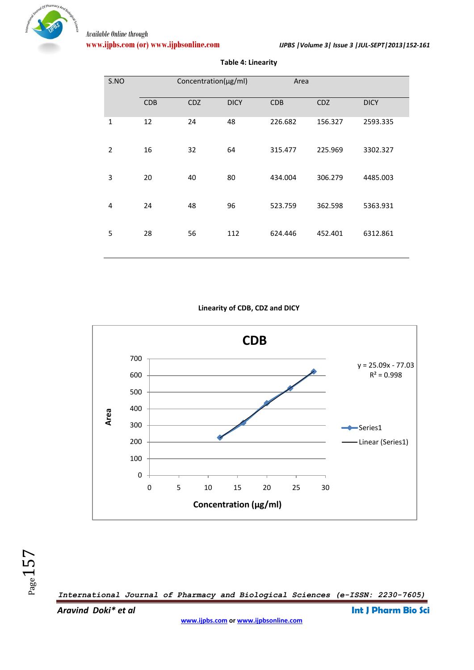

| S.NO         | Concentration(µg/ml) |     |             | Area       |            |             |
|--------------|----------------------|-----|-------------|------------|------------|-------------|
|              | <b>CDB</b>           | CDZ | <b>DICY</b> | <b>CDB</b> | <b>CDZ</b> | <b>DICY</b> |
| $\mathbf{1}$ | 12                   | 24  | 48          | 226.682    | 156.327    | 2593.335    |
| 2            | 16                   | 32  | 64          | 315.477    | 225.969    | 3302.327    |
| 3            | 20                   | 40  | 80          | 434.004    | 306.279    | 4485.003    |
| 4            | 24                   | 48  | 96          | 523.759    | 362.598    | 5363.931    |
| 5            | 28                   | 56  | 112         | 624.446    | 452.401    | 6312.861    |

#### **Table 4: Linearity**

**Linearity of CDB, CDZ and DICY**



*International Journal of Pharmacy and Biological Sciences (e-ISSN: 2230-7605)*

*Aravind Doki\* et al* **Int J Pharm Bio Sci**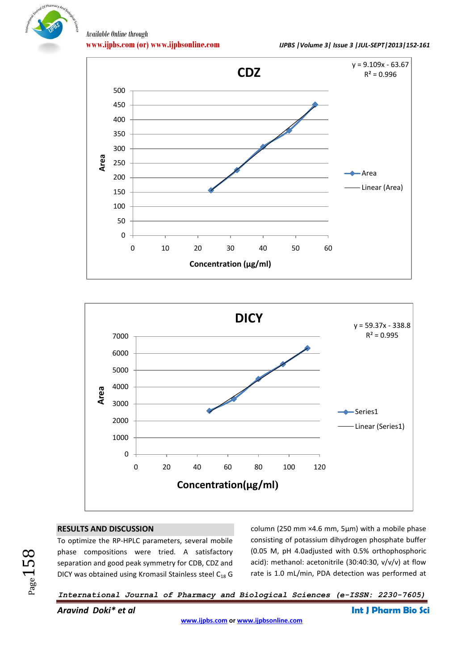





### **RESULTS AND DISCUSSION**

To optimize the RP-HPLC parameters, several mobile phase compositions were tried. A satisfactory separation and good peak symmetry for CDB, CDZ and DICY was obtained using Kromasil Stainless steel C<sub>18</sub> G column (250 mm ×4.6 mm, 5μm) with a mobile phase consisting of potassium dihydrogen phosphate buffer (0.05 M, pH 4.0adjusted with 0.5% orthophosphoric acid): methanol: acetonitrile (30:40:30, v/v/v) at flow rate is 1.0 mL/min, PDA detection was performed at

```
International Journal of Pharmacy and Biological Sciences (e-ISSN: 2230-7605)
```
*Aravind Doki\* et al* **Int J Pharm Bio Sci**

 $_{Page}158$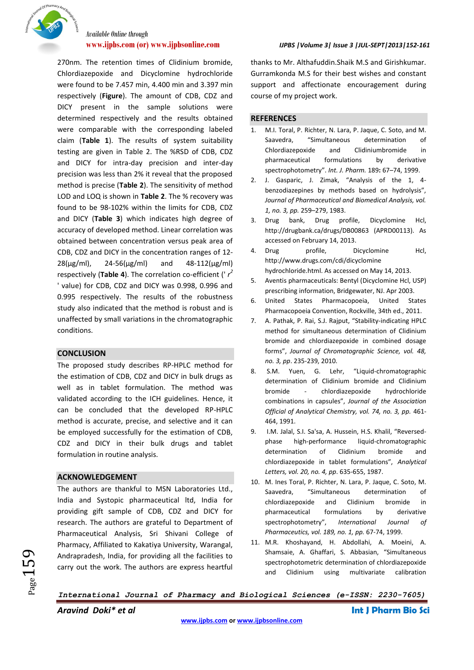

270nm. The retention times of Clidinium bromide, Chlordiazepoxide and Dicyclomine hydrochloride were found to be 7.457 min, 4.400 min and 3.397 min respectively (**Figure**). The amount of CDB, CDZ and DICY present in the sample solutions were determined respectively and the results obtained were comparable with the corresponding labeled claim (**Table 1**). The results of system suitability testing are given in Table 2. The %RSD of CDB, CDZ and DICY for intra-day precision and inter-day precision was less than 2% it reveal that the proposed method is precise (**Table 2**). The sensitivity of method LOD and LOQ is shown in **Table 2**. The % recovery was found to be 98-102% within the limits for CDB, CDZ and DICY (**Table 3**) which indicates high degree of accuracy of developed method. Linear correlation was obtained between concentration versus peak area of CDB, CDZ and DICY in the concentration ranges of 12-  $28(\mu g/ml)$ ,  $24-56(\mu g/ml)$  and  $48-112(\mu g/ml)$ respectively (**Table 4**). The correlation co-efficient (' *r 2* ' value) for CDB, CDZ and DICY was 0.998, 0.996 and 0.995 respectively. The results of the robustness study also indicated that the method is robust and is unaffected by small variations in the chromatographic conditions.

#### **CONCLUSION**

The proposed study describes RP-HPLC method for the estimation of CDB, CDZ and DICY in bulk drugs as well as in tablet formulation. The method was validated according to the ICH guidelines. Hence, it can be concluded that the developed RP-HPLC method is accurate, precise, and selective and it can be employed successfully for the estimation of CDB, CDZ and DICY in their bulk drugs and tablet formulation in routine analysis.

#### **ACKNOWLEDGEMENT**

The authors are thankful to MSN Laboratories Ltd., India and Systopic pharmaceutical ltd, India for providing gift sample of CDB, CDZ and DICY for research. The authors are grateful to Department of Pharmaceutical Analysis, Sri Shivani College of Pharmacy, Affiliated to Kakatiya University, Warangal, Andrapradesh, India, for providing all the facilities to carry out the work. The authors are express heartful thanks to Mr. Althafuddin.Shaik M.S and Girishkumar. Gurramkonda M.S for their best wishes and constant support and affectionate encouragement during course of my project work.

#### **REFERENCES**

- 1. M.I. Toral, P. Richter, N. Lara, P. Jaque, C. Soto, and M. Saavedra, "Simultaneous determination of Chlordiazepoxide and Clidiniumbromide in pharmaceutical formulations by derivative spectrophotometry". *Int. J. Pharm.* 189**:** 67–74, 1999.
- 2. J. Gasparic, J. Zimak, "Analysis of the 1, 4 benzodiazepines by methods based on hydrolysis", *Journal of Pharmaceutical and Biomedical Analysis, vol. 1, no. 3, pp.* 259–279, 1983.
- 3. Drug bank, Drug profile, Dicyclomine Hcl, http://drugbank.ca/drugs/DB00863 (APRD00113). As accessed on February 14, 2013.
- 4. Drug profile, Dicyclomine Hcl, http://www.drugs.com/cdi/dicyclomine hydrochloride.html. As accessed on May 14, 2013.
- 5. Aventis pharmaceuticals: Bentyl (Dicyclomine Hcl, USP) prescribing information, Bridgewater, NJ. Apr 2003.
- 6. United States Pharmacopoeia, United States Pharmacopoeia Convention, Rockville, 34th ed., 2011.
- 7. A. Pathak, P. Rai, S.J. Rajput, "Stability-indicating HPLC method for simultaneous determination of Clidinium bromide and chlordiazepoxide in combined dosage forms", *Journal of Chromatographic Science, vol. 48, no. 3, pp*. 235-239, 2010.
- 8. S.M. Yuen, G. Lehr, "Liquid-chromatographic determination of Clidinium bromide and Clidinium bromide - chlordiazepoxide hydrochloride combinations in capsules", *Journal of the Association Official of Analytical Chemistry, vol. 74, no. 3, pp.* 461- 464, 1991.
- 9. I.M. Jalal, S.I. Sa'sa, A. Hussein, H.S. Khalil, "Reversedphase high-performance liquid-chromatographic determination of Clidinium bromide and chlordiazepoxide in tablet formulations", *Analytical Letters, vol. 20, no. 4, pp*. 635-655, 1987.
- 10. M. Ines Toral, P. Richter, N. Lara, P. Jaque, C. Soto, M. Saavedra, "Simultaneous determination of chlordiazepoxide and Clidinium bromide in pharmaceutical formulations by derivative spectrophotometry", *International Journal of Pharmaceutics, vol. 189, no. 1, pp.* 67-74, 1999.
- 11. M.R. Khoshayand, H. Abdollahi, A. Moeini, A. Shamsaie, A. Ghaffari, S. Abbasian, "Simultaneous spectrophotometric determination of chlordiazepoxide and Clidinium using multivariate calibration

*International Journal of Pharmacy and Biological Sciences (e-ISSN: 2230-7605)*

*Aravind Doki\* et al* **Int J Pharm Bio Sci**

 $_{\rm Page}159$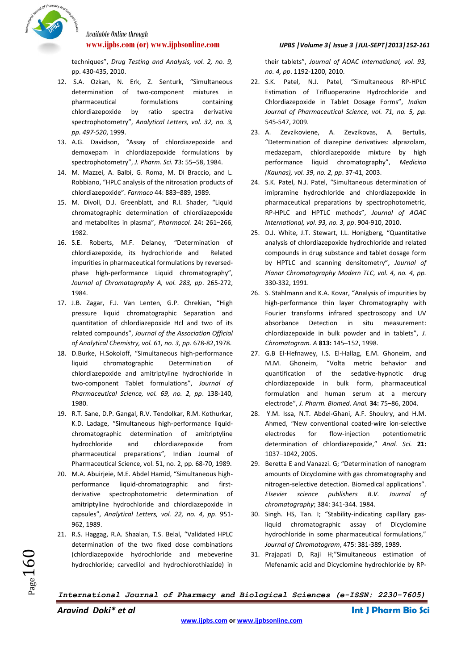

techniques", *Drug Testing and Analysis, vol. 2, no. 9,* pp. 430-435, 2010.

- 12. S.A. Ozkan, N. Erk, Z. Senturk, "Simultaneous determination of two-component mixtures in pharmaceutical formulations containing chlordiazepoxide by ratio spectra derivative spectrophotometry", *Analytical Letters, vol. 32, no. 3, pp. 497-520*, 1999.
- 13. A.G. Davidson, "Assay of chlordiazepoxide and demoxepam in chlordiazepoxide formulations by spectrophotometry", *J. Pharm. Sci.* **7**3: 55–58, 1984.
- 14. M. Mazzei, A. Balbi, G. Roma, M. Di Braccio, and L. Robbiano, "HPLC analysis of the nitrosation products of chlordiazepoxide". *Farmaco* 44: 883–889, 1989.
- 15. M. Divoll, D.J. Greenblatt, and R.I. Shader, "Liquid chromatographic determination of chlordiazepoxide and metabolites in plasma", *Pharmacol.* 24**:** 261–266, 1982.
- 16. S.E. Roberts, M.F. Delaney, "Determination of chlordiazepoxide, its hydrochloride and Related impurities in pharmaceutical formulations by reversedphase high-performance Liquid chromatography", *Journal of Chromatography A, vol. 283, pp*. 265-272, 1984.
- 17. J.B. Zagar, F.J. Van Lenten, G.P. Chrekian, "High pressure liquid chromatographic Separation and quantitation of chlordiazepoxide Hcl and two of its related compounds", *Journal of the Association Official of Analytical Chemistry, vol. 61, no. 3, pp*. 678-82,1978.
- 18. D.Burke, H.Sokoloff, "Simultaneous high-performance liquid chromatographic Determination of chlordiazepoxide and amitriptyline hydrochloride in two-component Tablet formulations", *Journal of Pharmaceutical Science, vol. 69, no. 2, pp*. 138-140, 1980.
- 19. R.T. Sane, D.P. Gangal, R.V. Tendolkar, R.M. Kothurkar, K.D. Ladage, "Simultaneous high-performance liquidchromatographic determination of amitriptyline hydrochloride and chlordiazepoxide from pharmaceutical preparations", Indian Journal of Pharmaceutical Science, vol. 51, no. 2, pp. 68-70, 1989.
- 20. M.A. Abuirjeie, M.E. Abdel Hamid, "Simultaneous highperformance liquid-chromatographic and firstderivative spectrophotometric determination of amitriptyline hydrochloride and chlordiazepoxide in capsules", *Analytical Letters, vol. 22, no. 4, pp*. 951- 962, 1989.
- 21. R.S. Haggag, R.A. Shaalan, T.S. Belal, "Validated HPLC determination of the two fixed dose combinations (chlordiazepoxide hydrochloride and mebeverine hydrochloride; carvedilol and hydrochlorothiazide) in

#### **www.ijpbs.com (or) www.ijpbsonline.com** *IJPBS |Volume 3| Issue 3 |JUL-SEPT|2013|152-161*

their tablets", *Journal of AOAC International, vol. 93, no. 4, pp*. 1192-1200, 2010.

- 22. S.K. Patel, N.J. Patel, "Simultaneous RP-HPLC Estimation of Trifluoperazine Hydrochloride and Chlordiazepoxide in Tablet Dosage Forms", *Indian Journal of Pharmaceutical Science, vol. 71, no. 5, pp.* 545-547, 2009.
- 23. A. Zevzikoviene, A. Zevzikovas, A. Bertulis, "Determination of diazepine derivatives: alprazolam, medazepam, chlordiazepoxide mixture by high performance liquid chromatography", *Medicina (Kaunas), vol. 39, no. 2, pp*. 37-41, 2003.
- 24. S.K. Patel, N.J. Patel, "Simultaneous determination of imipramine hydrochloride and chlordiazepoxide in pharmaceutical preparations by spectrophotometric, RP-HPLC and HPTLC methods", *Journal of AOAC International, vol. 93, no. 3, pp*. 904-910, 2010.
- 25. D.J. White, J.T. Stewart, I.L. Honigberg, "Quantitative analysis of chlordiazepoxide hydrochloride and related compounds in drug substance and tablet dosage form by HPTLC and scanning densitometry", *Journal of Planar Chromatography Modern TLC, vol. 4, no. 4, pp.* 330-332, 1991.
- 26. S. Stahlmann and K.A. Kovar, "Analysis of impurities by high-performance thin layer Chromatography with Fourier transforms infrared spectroscopy and UV absorbance Detection in situ measurement: chlordiazepoxide in bulk powder and in tablets", *J. Chromatogram. A* **813:** 145–152, 1998.
- 27. G.B El-Hefnawey, I.S. El-Hallag, E.M. Ghoneim, and M.M. Ghoneim, "Volta metric behavior and quantification of the sedative-hypnotic drug chlordiazepoxide in bulk form, pharmaceutical formulation and human serum at a mercury electrode", *J. Pharm. Biomed. Anal.* **34:** 75–86, 2004.
- 28. Y.M. Issa, N.T. Abdel-Ghani, A.F. Shoukry, and H.M. Ahmed, "New conventional coated-wire ion-selective electrodes for flow-injection potentiometric determination of chlordiazepoxide," *Anal. Sci.* **21:** 1037–1042, 2005.
- 29. Beretta E and Vanazzi. G; "Determination of nanogram amounts of Dicyclomine with gas chromatography and nitrogen-selective detection. Biomedical applications". *Elsevier science publishers B.V. Journal of chromatography*; 384: 341-344. 1984.
- 30. Singh. HS, Tan. I; "Stability-indicating capillary gasliquid chromatographic assay of Dicyclomine hydrochloride in some pharmaceutical formulations," *Journal of Chromatogram*, 475: 381-389, 1989.
- 31. Prajapati D, Raji H;"Simultaneous estimation of Mefenamic acid and Dicyclomine hydrochloride by RP-

# *International Journal of Pharmacy and Biological Sciences (e-ISSN: 2230-7605)*

*Aravind Doki\* et al* **Int J Pharm Bio Sci**

 $Page160$